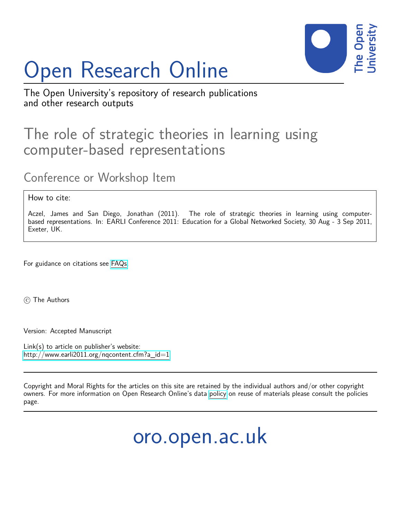

# Open Research Online

The Open University's repository of research publications and other research outputs

## The role of strategic theories in learning using computer-based representations

Conference or Workshop Item

How to cite:

Aczel, James and San Diego, Jonathan (2011). The role of strategic theories in learning using computerbased representations. In: EARLI Conference 2011: Education for a Global Networked Society, 30 Aug - 3 Sep 2011, Exeter, UK.

For guidance on citations see [FAQs.](http://oro.open.ac.uk/help/helpfaq.html)

(c) The Authors

Version: Accepted Manuscript

Link(s) to article on publisher's website: [http://www.earli2011.org/nqcontent.cfm?a\\_id=1](http://www.earli2011.org/nqcontent.cfm?a_id=1)

Copyright and Moral Rights for the articles on this site are retained by the individual authors and/or other copyright owners. For more information on Open Research Online's data [policy](http://oro.open.ac.uk/policies.html) on reuse of materials please consult the policies page.

oro.open.ac.uk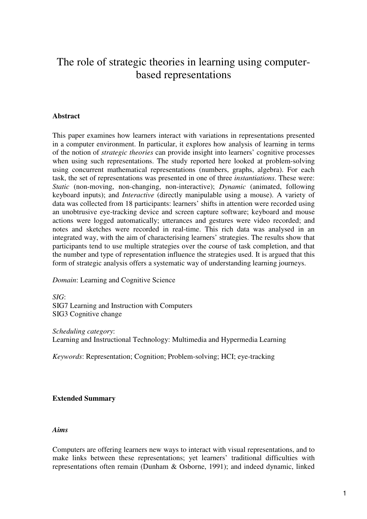### The role of strategic theories in learning using computerbased representations

#### **Abstract**

This paper examines how learners interact with variations in representations presented in a computer environment. In particular, it explores how analysis of learning in terms of the notion of *strategic theories* can provide insight into learners' cognitive processes when using such representations. The study reported here looked at problem-solving using concurrent mathematical representations (numbers, graphs, algebra). For each task, the set of representations was presented in one of three *instantiations*. These were: *Static* (non-moving, non-changing, non-interactive); *Dynamic* (animated, following keyboard inputs); and *Interactive* (directly manipulable using a mouse). A variety of data was collected from 18 participants: learners' shifts in attention were recorded using an unobtrusive eye-tracking device and screen capture software; keyboard and mouse actions were logged automatically; utterances and gestures were video recorded; and notes and sketches were recorded in real-time. This rich data was analysed in an integrated way, with the aim of characterising learners' strategies. The results show that participants tend to use multiple strategies over the course of task completion, and that the number and type of representation influence the strategies used. It is argued that this form of strategic analysis offers a systematic way of understanding learning journeys.

*Domain*: Learning and Cognitive Science

*SIG*: SIG7 Learning and Instruction with Computers SIG3 Cognitive change

*Scheduling category*:

Learning and Instructional Technology: Multimedia and Hypermedia Learning

*Keywords*: Representation; Cognition; Problem-solving; HCI; eye-tracking

#### **Extended Summary**

#### *Aims*

Computers are offering learners new ways to interact with visual representations, and to make links between these representations; yet learners' traditional difficulties with representations often remain (Dunham & Osborne, 1991); and indeed dynamic, linked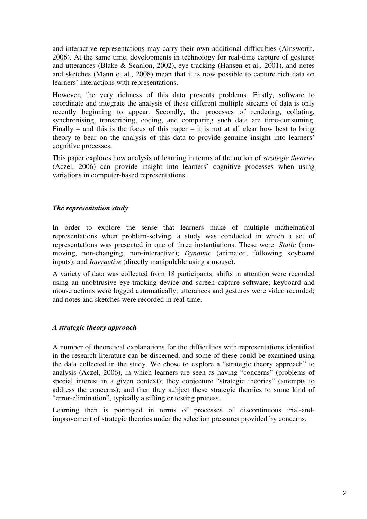and interactive representations may carry their own additional difficulties (Ainsworth, 2006). At the same time, developments in technology for real-time capture of gestures and utterances (Blake & Scanlon, 2002), eye-tracking (Hansen et al., 2001), and notes and sketches (Mann et al., 2008) mean that it is now possible to capture rich data on learners' interactions with representations.

However, the very richness of this data presents problems. Firstly, software to coordinate and integrate the analysis of these different multiple streams of data is only recently beginning to appear. Secondly, the processes of rendering, collating, synchronising, transcribing, coding, and comparing such data are time-consuming. Finally – and this is the focus of this paper – it is not at all clear how best to bring theory to bear on the analysis of this data to provide genuine insight into learners' cognitive processes.

This paper explores how analysis of learning in terms of the notion of *strategic theories* (Aczel, 2006) can provide insight into learners' cognitive processes when using variations in computer-based representations.

#### *The representation study*

In order to explore the sense that learners make of multiple mathematical representations when problem-solving, a study was conducted in which a set of representations was presented in one of three instantiations. These were: *Static* (nonmoving, non-changing, non-interactive); *Dynamic* (animated, following keyboard inputs); and *Interactive* (directly manipulable using a mouse).

A variety of data was collected from 18 participants: shifts in attention were recorded using an unobtrusive eye-tracking device and screen capture software; keyboard and mouse actions were logged automatically; utterances and gestures were video recorded; and notes and sketches were recorded in real-time.

#### *A strategic theory approach*

A number of theoretical explanations for the difficulties with representations identified in the research literature can be discerned, and some of these could be examined using the data collected in the study. We chose to explore a "strategic theory approach" to analysis (Aczel, 2006), in which learners are seen as having "concerns" (problems of special interest in a given context); they conjecture "strategic theories" (attempts to address the concerns); and then they subject these strategic theories to some kind of "error-elimination", typically a sifting or testing process.

Learning then is portrayed in terms of processes of discontinuous trial-andimprovement of strategic theories under the selection pressures provided by concerns.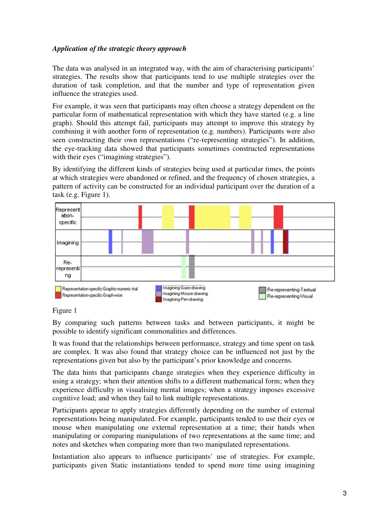#### *Application of the strategic theory approach*

The data was analysed in an integrated way, with the aim of characterising participants' strategies. The results show that participants tend to use multiple strategies over the duration of task completion, and that the number and type of representation given influence the strategies used.

For example, it was seen that participants may often choose a strategy dependent on the particular form of mathematical representation with which they have started (e.g. a line graph). Should this attempt fail, participants may attempt to improve this strategy by combining it with another form of representation (e.g. numbers). Participants were also seen constructing their own representations ("re-representing strategies"). In addition, the eye-tracking data showed that participants sometimes constructed representations with their eyes ("imagining strategies").

By identifying the different kinds of strategies being used at particular times, the points at which strategies were abandoned or refined, and the frequency of chosen strategies, a pattern of activity can be constructed for an individual participant over the duration of a task (e.g. Figure 1).



#### Figure 1

By comparing such patterns between tasks and between participants, it might be possible to identify significant commonalities and differences.

It was found that the relationships between performance, strategy and time spent on task are complex. It was also found that strategy choice can be influenced not just by the representations given but also by the participant's prior knowledge and concerns.

The data hints that participants change strategies when they experience difficulty in using a strategy; when their attention shifts to a different mathematical form; when they experience difficulty in visualising mental images; when a strategy imposes excessive cognitive load; and when they fail to link multiple representations.

Participants appear to apply strategies differently depending on the number of external representations being manipulated. For example, participants tended to use their eyes or mouse when manipulating one external representation at a time; their hands when manipulating or comparing manipulations of two representations at the same time; and notes and sketches when comparing more than two manipulated representations.

Instantiation also appears to influence participants' use of strategies. For example, participants given Static instantiations tended to spend more time using imagining